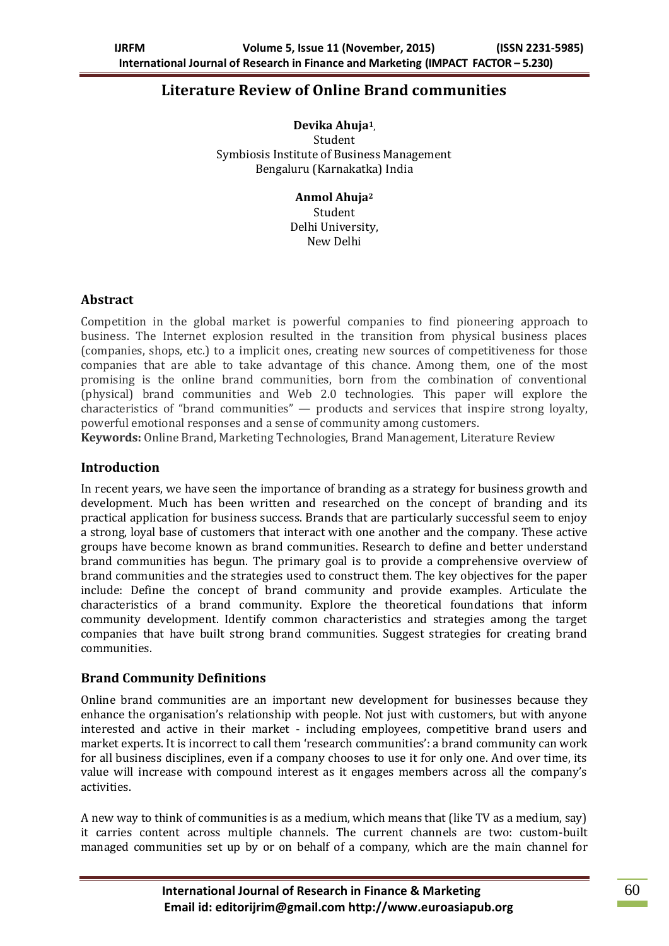# **Literature Review of Online Brand communities**

**Devika Ahuja<sup>1</sup> ,** Student Symbiosis Institute of Business Management Bengaluru (Karnakatka) India

> **Anmol Ahuja<sup>2</sup>** Student Delhi University, New Delhi

## **Abstract**

Competition in the global market is powerful companies to find pioneering approach to business. The Internet explosion resulted in the transition from physical business places (companies, shops, etc.) to a implicit ones, creating new sources of competitiveness for those companies that are able to take advantage of this chance. Among them, one of the most promising is the online brand communities, born from the combination of conventional (physical) brand communities and Web 2.0 technologies. This paper will explore the characteristics of "brand communities" — products and services that inspire strong loyalty, powerful emotional responses and a sense of community among customers.

**Keywords:** Online Brand, Marketing Technologies, Brand Management, Literature Review

### **Introduction**

In recent years, we have seen the importance of branding as a strategy for business growth and development. Much has been written and researched on the concept of branding and its practical application for business success. Brands that are particularly successful seem to enjoy a strong, loyal base of customers that interact with one another and the company. These active groups have become known as brand communities. Research to define and better understand brand communities has begun. The primary goal is to provide a comprehensive overview of brand communities and the strategies used to construct them. The key objectives for the paper include: Define the concept of brand community and provide examples. Articulate the characteristics of a brand community. Explore the theoretical foundations that inform community development. Identify common characteristics and strategies among the target companies that have built strong brand communities. Suggest strategies for creating brand communities.

### **Brand Community Definitions**

Online brand communities are an important new development for businesses because they enhance the organisation's relationship with people. Not just with customers, but with anyone interested and active in their market - including employees, competitive brand users and market experts. It is incorrect to call them 'research communities': a brand community can work for all business disciplines, even if a company chooses to use it for only one. And over time, its value will increase with compound interest as it engages members across all the company's activities.

A new way to think of communities is as a medium, which means that (like TV as a medium, say) it carries content across multiple channels. The current channels are two: custom-built managed communities set up by or on behalf of a company, which are the main channel for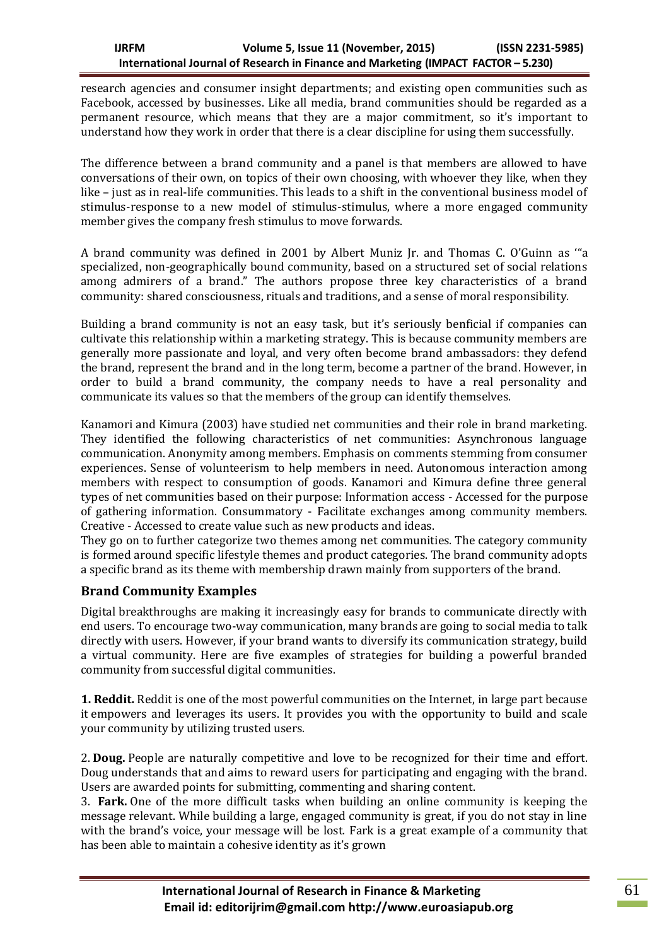research agencies and consumer insight departments; and existing open communities such as Facebook, accessed by businesses. Like all media, brand communities should be regarded as a permanent resource, which means that they are a major commitment, so it's important to understand how they work in order that there is a clear discipline for using them successfully.

The difference between a brand community and a panel is that members are allowed to have conversations of their own, on topics of their own choosing, with whoever they like, when they like – just as in real-life communities. This leads to a shift in the conventional business model of stimulus-response to a new model of stimulus-stimulus, where a more engaged community member gives the company fresh stimulus to move forwards.

A brand community was defined in 2001 by Albert Muniz Jr. and Thomas C. O'Guinn as '"a specialized, non-geographically bound community, based on a structured set of social relations among admirers of a brand." The authors propose three key characteristics of a brand community: shared consciousness, rituals and traditions, and a sense of moral responsibility.

Building a brand community is not an easy task, but it's seriously benficial if companies can cultivate this relationship within a marketing strategy. This is because community members are generally more passionate and loyal, and very often become brand ambassadors: they defend the brand, represent the brand and in the long term, become a partner of the brand. However, in order to build a brand community, the company needs to have a real personality and communicate its values so that the members of the group can identify themselves.

Kanamori and Kimura (2003) have studied net communities and their role in brand marketing. They identified the following characteristics of net communities: Asynchronous language communication. Anonymity among members. Emphasis on comments stemming from consumer experiences. Sense of volunteerism to help members in need. Autonomous interaction among members with respect to consumption of goods. Kanamori and Kimura define three general types of net communities based on their purpose: Information access - Accessed for the purpose of gathering information. Consummatory - Facilitate exchanges among community members. Creative - Accessed to create value such as new products and ideas.

They go on to further categorize two themes among net communities. The category community is formed around specific lifestyle themes and product categories. The brand community adopts a specific brand as its theme with membership drawn mainly from supporters of the brand.

# **Brand Community Examples**

Digital breakthroughs are making it increasingly easy for brands to communicate directly with end users. To encourage two-way communication, many brands are going to social media to talk directly with users. However, if your brand wants to diversify its communication strategy, build a virtual community. Here are five examples of strategies for building a powerful branded community from successful digital communities.

**1. Reddit.** Reddit is one of the most powerful communities on the Internet, in large part because it [empowers and leverages its users.](http://www.reddit.com/about/) It provides you with the opportunity to build and scale your community by utilizing trusted users.

2. **Doug.** People are naturally competitive and love to be recognized for their time and effort. Doug understands that and aims to reward users for participating and engaging with the brand. Users are awarded points for submitting, commenting and sharing content.

3. **Fark.** One of the more difficult tasks when building an online community is keeping the message relevant. While building a large, engaged community is great, if you do not stay in line with the brand's voice, your message will be lost. Fark is a great example of a community that has been able to maintain a cohesive identity as it's grown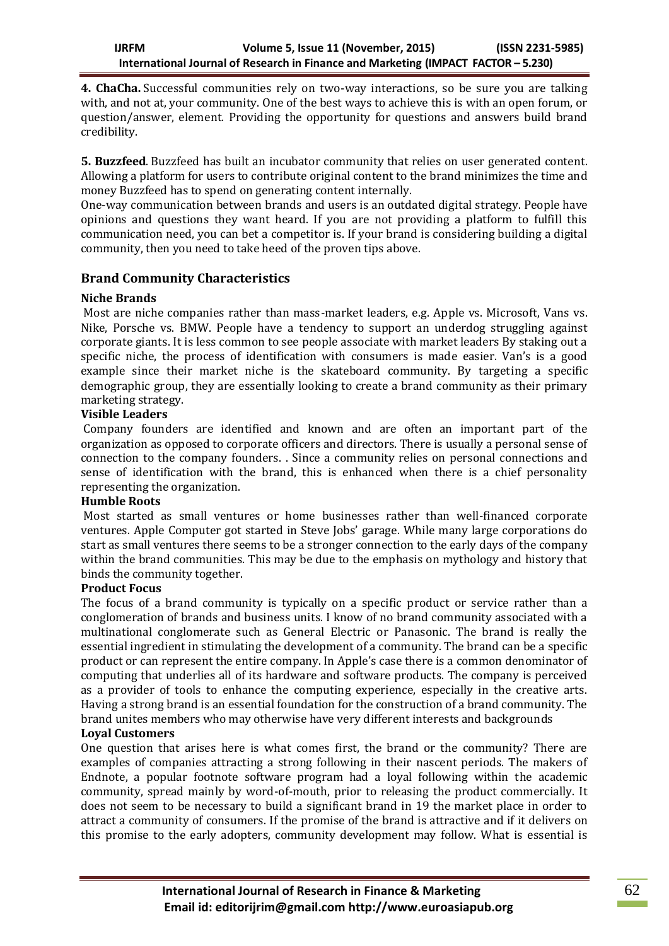**4. ChaCha.** Successful communities rely on two-way interactions, so be sure you are talking with, and not at, your community. One of the best ways to achieve this is with an open forum, or question/answer, element. Providing the opportunity for questions and answers build brand credibility.

**5. Buzzfeed**. Buzzfeed has built an incubator community that relies on user generated content. Allowing a platform for users to [contribute original content](http://www.buzzfeed.com/community/about) to the brand minimizes the time and money Buzzfeed has to spend on generating content internally.

One-way communication between brands and users is an outdated digital strategy. People have opinions and questions they want heard. If you are not providing a platform to fulfill this communication need, you can bet a competitor is. If your brand is considering building a digital community, then you need to take heed of the proven tips above.

# **Brand Community Characteristics**

### **Niche Brands**

Most are niche companies rather than mass-market leaders, e.g. Apple vs. Microsoft, Vans vs. Nike, Porsche vs. BMW. People have a tendency to support an underdog struggling against corporate giants. It is less common to see people associate with market leaders By staking out a specific niche, the process of identification with consumers is made easier. Van's is a good example since their market niche is the skateboard community. By targeting a specific demographic group, they are essentially looking to create a brand community as their primary marketing strategy.

#### **Visible Leaders**

Company founders are identified and known and are often an important part of the organization as opposed to corporate officers and directors. There is usually a personal sense of connection to the company founders. . Since a community relies on personal connections and sense of identification with the brand, this is enhanced when there is a chief personality representing the organization.

#### **Humble Roots**

Most started as small ventures or home businesses rather than well-financed corporate ventures. Apple Computer got started in Steve Jobs' garage. While many large corporations do start as small ventures there seems to be a stronger connection to the early days of the company within the brand communities. This may be due to the emphasis on mythology and history that binds the community together.

### **Product Focus**

The focus of a brand community is typically on a specific product or service rather than a conglomeration of brands and business units. I know of no brand community associated with a multinational conglomerate such as General Electric or Panasonic. The brand is really the essential ingredient in stimulating the development of a community. The brand can be a specific product or can represent the entire company. In Apple's case there is a common denominator of computing that underlies all of its hardware and software products. The company is perceived as a provider of tools to enhance the computing experience, especially in the creative arts. Having a strong brand is an essential foundation for the construction of a brand community. The brand unites members who may otherwise have very different interests and backgrounds

#### **Loyal Customers**

One question that arises here is what comes first, the brand or the community? There are examples of companies attracting a strong following in their nascent periods. The makers of Endnote, a popular footnote software program had a loyal following within the academic community, spread mainly by word-of-mouth, prior to releasing the product commercially. It does not seem to be necessary to build a significant brand in 19 the market place in order to attract a community of consumers. If the promise of the brand is attractive and if it delivers on this promise to the early adopters, community development may follow. What is essential is